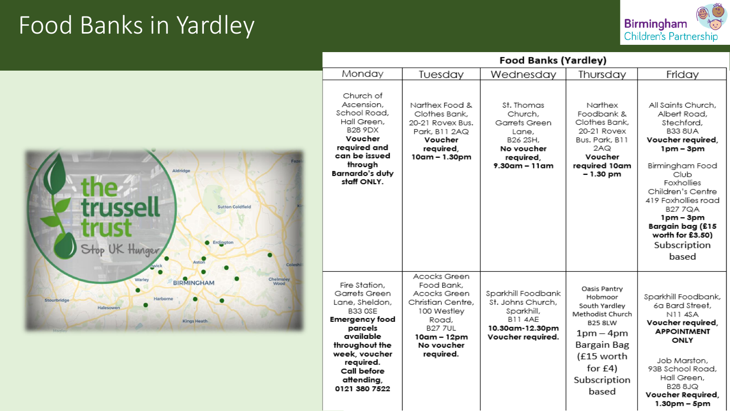#### Food Banks in Yardley



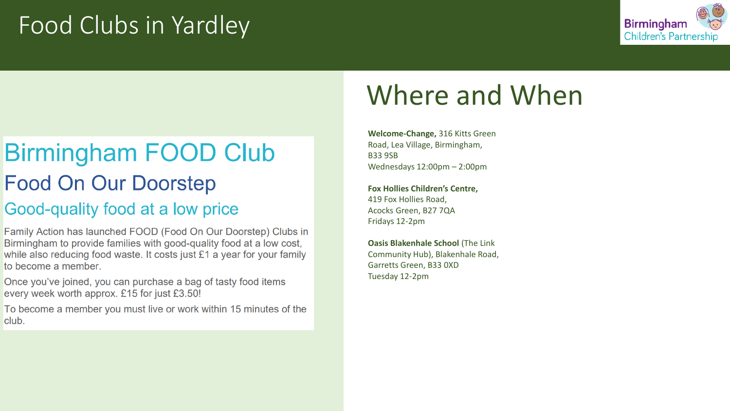### Food Clubs in Yardley



#### **Birmingham FOOD Club Food On Our Doorstep** Good-quality food at a low price

Family Action has launched FOOD (Food On Our Doorstep) Clubs in Birmingham to provide families with good-quality food at a low cost, while also reducing food waste. It costs just £1 a year for your family to become a member

Once you've joined, you can purchase a bag of tasty food items every week worth approx. £15 for just £3.50!

To become a member you must live or work within 15 minutes of the club.

## Where and When

**Welcome-Change,** 316 Kitts Green Road, Lea Village, Birmingham, B33 9SB Wednesdays 12:00pm – 2:00pm

**Fox Hollies Children's Centre,**  419 Fox Hollies Road, Acocks Green, B27 7QA Fridays 12-2pm

**Oasis Blakenhale School** (The Link Community Hub), Blakenhale Road, Garretts Green, B33 0XD Tuesday 12-2pm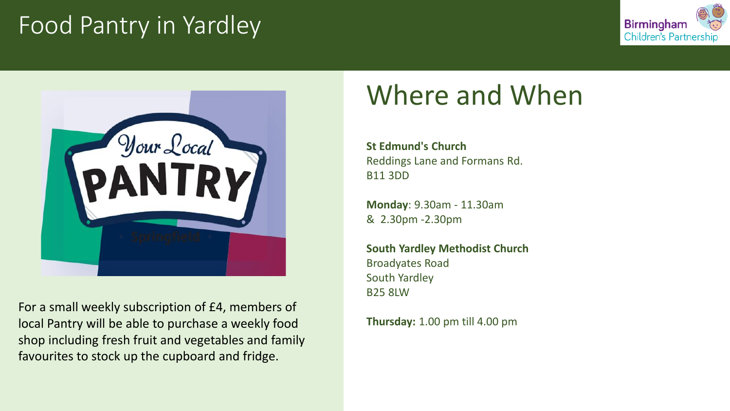#### Food Pantry in Yardley





For a small weekly subscription of £4, members of local Pantry will be able to purchase a weekly food shop including fresh fruit and vegetables and family favourites to stock up the cupboard and fridge.

## Where and When

**St Edmund's Church** Reddings Lane and Formans Rd. B11 3DD

**Monday**: 9.30am - 11.30am & 2.30pm -2.30pm

**South Yardley Methodist Church** Broadyates Road South Yardley B25 8LW

**Thursday:** 1.00 pm till 4.00 pm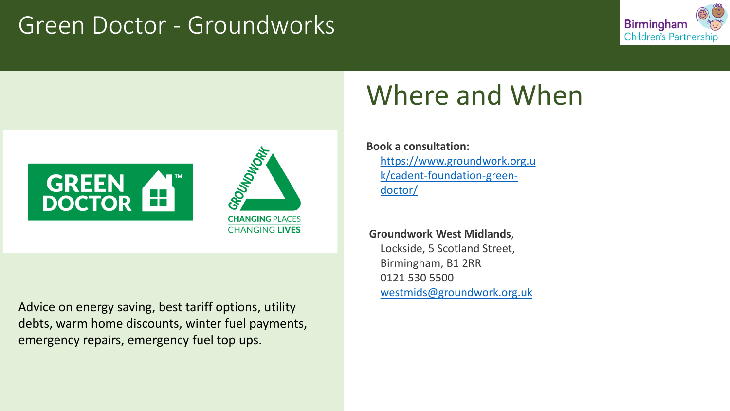#### Green Doctor - Groundworks





Advice on energy saving, best tariff options, utility debts, warm home discounts, winter fuel payments, emergency repairs, emergency fuel top ups.

### Where and When

**Book a consultation:**  [https://www.groundwork.org.u](https://www.groundwork.org.uk/cadent-foundation-green-doctor/) k/cadent-foundation-greendoctor/

**Groundwork West Midlands**, Lockside, 5 Scotland Street, Birmingham, B1 2RR 0121 530 5500 [westmids@groundwork.org.uk](mailto:westmids@groundwork.org.uk)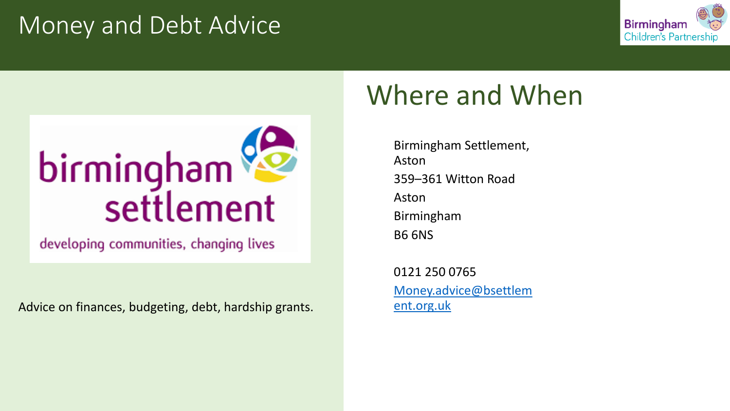#### Money and Debt Advice





developing communities, changing lives

Advice on finances, budgeting, debt, hardship grants.

### Where and When

Birmingham Settlement, Aston 359–361 Witton Road Aston Birmingham B6 6NS

0121 250 0765 [Money.advice@bsettlem](mailto:Money.advice@bsettlement.org.uk) ent.org.uk